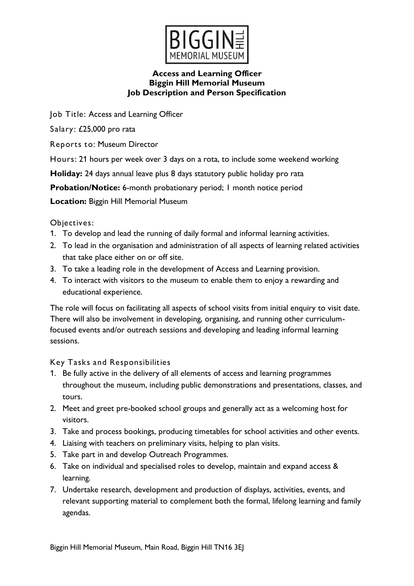

Job Title: Access and Learning Officer

Salary: £25,000 pro rata

Reports to: Museum Director

Hours: 21 hours per week over 3 days on a rota, to include some weekend working

**Holiday:** 24 days annual leave plus 8 days statutory public holiday pro rata

**Probation/Notice:** 6-month probationary period; 1 month notice period

**Location:** Biggin Hill Memorial Museum

Objectives:

- 1. To develop and lead the running of daily formal and informal learning activities.
- 2. To lead in the organisation and administration of all aspects of learning related activities that take place either on or off site.
- 3. To take a leading role in the development of Access and Learning provision.
- 4. To interact with visitors to the museum to enable them to enjoy a rewarding and educational experience.

The role will focus on facilitating all aspects of school visits from initial enquiry to visit date. There will also be involvement in developing, organising, and running other curriculumfocused events and/or outreach sessions and developing and leading informal learning sessions.

Key Tasks and Responsibilities

- 1. Be fully active in the delivery of all elements of access and learning programmes throughout the museum, including public demonstrations and presentations, classes, and tours.
- 2. Meet and greet pre-booked school groups and generally act as a welcoming host for visitors.
- 3. Take and process bookings, producing timetables for school activities and other events.
- 4. Liaising with teachers on preliminary visits, helping to plan visits.
- 5. Take part in and develop Outreach Programmes.
- 6. Take on individual and specialised roles to develop, maintain and expand access & learning.
- 7. Undertake research, development and production of displays, activities, events, and relevant supporting material to complement both the formal, lifelong learning and family agendas.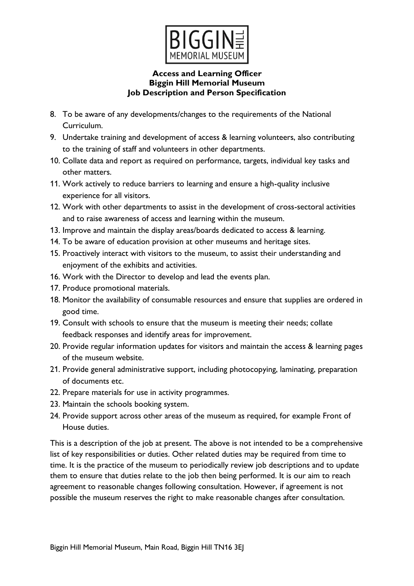

- 8. To be aware of any developments/changes to the requirements of the National Curriculum.
- 9. Undertake training and development of access & learning volunteers, also contributing to the training of staff and volunteers in other departments.
- 10. Collate data and report as required on performance, targets, individual key tasks and other matters.
- 11. Work actively to reduce barriers to learning and ensure a high-quality inclusive experience for all visitors.
- 12. Work with other departments to assist in the development of cross-sectoral activities and to raise awareness of access and learning within the museum.
- 13. Improve and maintain the display areas/boards dedicated to access & learning.
- 14. To be aware of education provision at other museums and heritage sites.
- 15. Proactively interact with visitors to the museum, to assist their understanding and enjoyment of the exhibits and activities.
- 16. Work with the Director to develop and lead the events plan.
- 17. Produce promotional materials.
- 18. Monitor the availability of consumable resources and ensure that supplies are ordered in good time.
- 19. Consult with schools to ensure that the museum is meeting their needs; collate feedback responses and identify areas for improvement.
- 20. Provide regular information updates for visitors and maintain the access & learning pages of the museum website.
- 21. Provide general administrative support, including photocopying, laminating, preparation of documents etc.
- 22. Prepare materials for use in activity programmes.
- 23. Maintain the schools booking system.
- 24. Provide support across other areas of the museum as required, for example Front of House duties.

This is a description of the job at present. The above is not intended to be a comprehensive list of key responsibilities or duties. Other related duties may be required from time to time. It is the practice of the museum to periodically review job descriptions and to update them to ensure that duties relate to the job then being performed. It is our aim to reach agreement to reasonable changes following consultation. However, if agreement is not possible the museum reserves the right to make reasonable changes after consultation.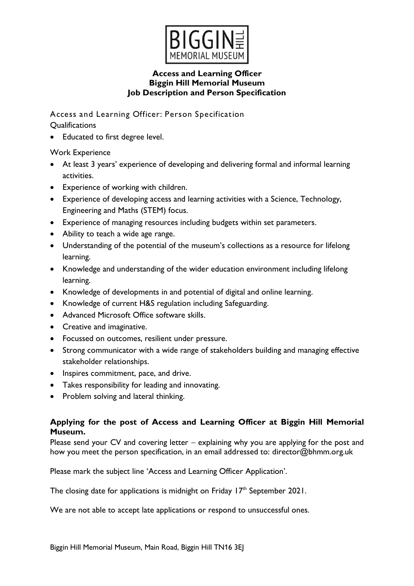

Access and Learning Officer: Person Specification **Qualifications** 

• Educated to first degree level.

Work Experience

- At least 3 years' experience of developing and delivering formal and informal learning activities.
- Experience of working with children.
- Experience of developing access and learning activities with a Science, Technology, Engineering and Maths (STEM) focus.
- Experience of managing resources including budgets within set parameters.
- Ability to teach a wide age range.
- Understanding of the potential of the museum's collections as a resource for lifelong learning.
- Knowledge and understanding of the wider education environment including lifelong learning.
- Knowledge of developments in and potential of digital and online learning.
- Knowledge of current H&S regulation including Safeguarding.
- Advanced Microsoft Office software skills.
- Creative and imaginative.
- Focussed on outcomes, resilient under pressure.
- Strong communicator with a wide range of stakeholders building and managing effective stakeholder relationships.
- Inspires commitment, pace, and drive.
- Takes responsibility for leading and innovating.
- Problem solving and lateral thinking.

## **Applying for the post of Access and Learning Officer at Biggin Hill Memorial Museum.**

Please send your CV and covering letter – explaining why you are applying for the post and how you meet the person specification, in an email addressed to: director@bhmm.org.uk

Please mark the subject line 'Access and Learning Officer Application'.

The closing date for applications is midnight on Friday  $17<sup>th</sup>$  September 2021.

We are not able to accept late applications or respond to unsuccessful ones.